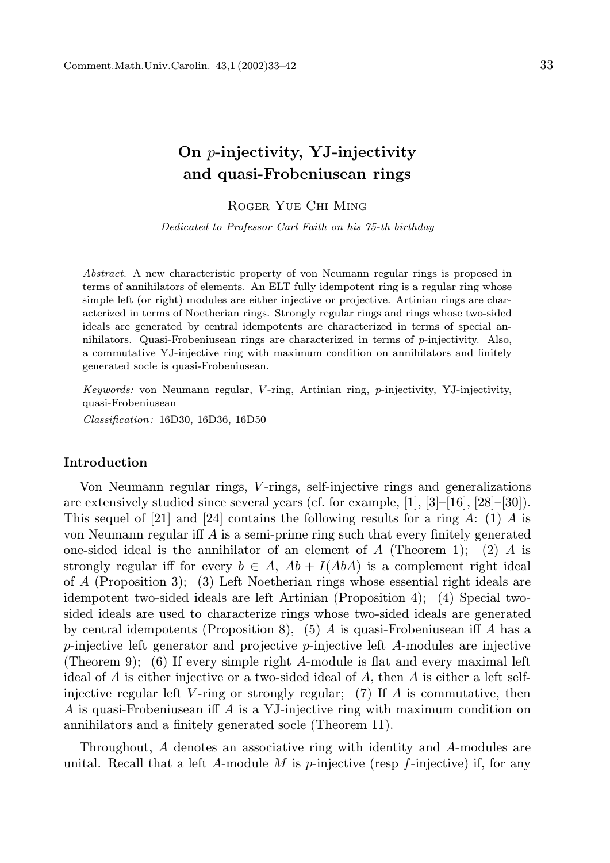## On p-injectivity, YJ-injectivity and quasi-Frobeniusean rings

Roger Yue Chi Ming

Dedicated to Professor Carl Faith on his 75-th birthday

Abstract. A new characteristic property of von Neumann regular rings is proposed in terms of annihilators of elements. An ELT fully idempotent ring is a regular ring whose simple left (or right) modules are either injective or projective. Artinian rings are characterized in terms of Noetherian rings. Strongly regular rings and rings whose two-sided ideals are generated by central idempotents are characterized in terms of special annihilators. Quasi-Frobeniusean rings are characterized in terms of  $p$ -injectivity. Also, a commutative YJ-injective ring with maximum condition on annihilators and finitely generated socle is quasi-Frobeniusean.

Keywords: von Neumann regular, V -ring, Artinian ring, p-injectivity, YJ-injectivity, quasi-Frobeniusean Classification: 16D30, 16D36, 16D50

## Introduction

Von Neumann regular rings, V -rings, self-injective rings and generalizations are extensively studied since several years (cf. for example,  $[1]$ ,  $[3]$ – $[16]$ ,  $[28]$ – $[30]$ ). This sequel of [21] and [24] contains the following results for a ring A: (1) A is von Neumann regular iff A is a semi-prime ring such that every finitely generated one-sided ideal is the annihilator of an element of  $A$  (Theorem 1); (2)  $A$  is strongly regular iff for every  $b \in A$ ,  $Ab + I(AbA)$  is a complement right ideal of A (Proposition 3); (3) Left Noetherian rings whose essential right ideals are idempotent two-sided ideals are left Artinian (Proposition 4); (4) Special twosided ideals are used to characterize rings whose two-sided ideals are generated by central idempotents (Proposition 8), (5) A is quasi-Frobeniusean iff A has a p-injective left generator and projective p-injective left A-modules are injective (Theorem 9); (6) If every simple right A-module is flat and every maximal left ideal of A is either injective or a two-sided ideal of A, then A is either a left selfinjective regular left V-ring or strongly regular; (7) If  $A$  is commutative, then A is quasi-Frobeniusean iff A is a YJ-injective ring with maximum condition on annihilators and a finitely generated socle (Theorem 11).

Throughout, A denotes an associative ring with identity and A-modules are unital. Recall that a left A-module M is p-injective (resp  $f$ -injective) if, for any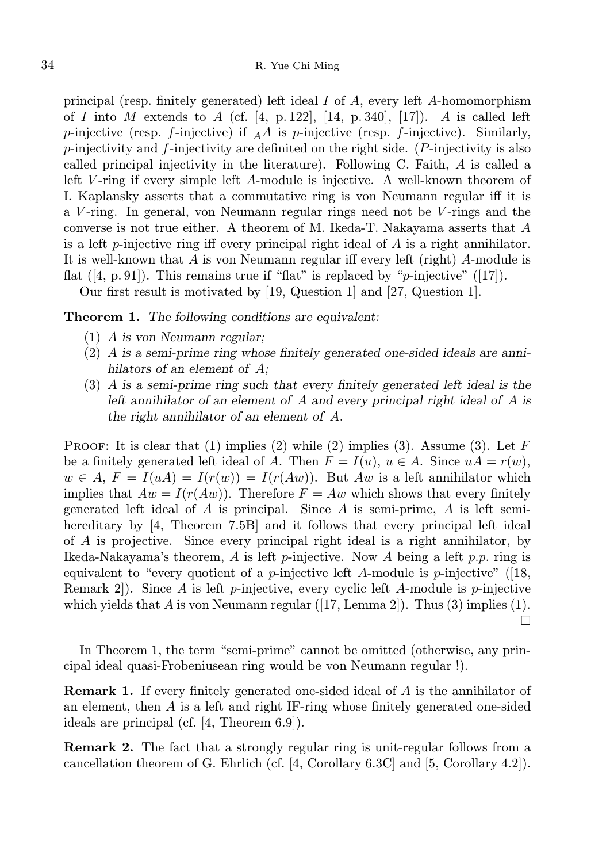principal (resp. finitely generated) left ideal  $I$  of  $A$ , every left  $A$ -homomorphism of I into M extends to A (cf. [4, p. 122], [14, p. 340], [17]). A is called left p-injective (resp. f-injective) if  $_A A$  is p-injective (resp. f-injective). Similarly,  $p$ -injectivity and  $f$ -injectivity are definited on the right side. (P-injectivity is also called principal injectivity in the literature). Following C. Faith, A is called a left V-ring if every simple left A-module is injective. A well-known theorem of I. Kaplansky asserts that a commutative ring is von Neumann regular iff it is a V -ring. In general, von Neumann regular rings need not be V -rings and the converse is not true either. A theorem of M. Ikeda-T. Nakayama asserts that A is a left p-injective ring iff every principal right ideal of  $A$  is a right annihilator. It is well-known that  $A$  is von Neumann regular iff every left (right)  $A$ -module is flat  $([4, p. 91])$ . This remains true if "flat" is replaced by "*p*-injective"  $([17])$ .

Our first result is motivated by [19, Question 1] and [27, Question 1].

Theorem 1. The following conditions are equivalent:

- (1) A is von Neumann regular;
- (2) A is a semi-prime ring whose finitely generated one-sided ideals are annihilators of an element of  $A$ ;
- (3) A is a semi-prime ring such that every finitely generated left ideal is the left annihilator of an element of A and every principal right ideal of A is the right annihilator of an element of A.

PROOF: It is clear that (1) implies (2) while (2) implies (3). Assume (3). Let  $F$ be a finitely generated left ideal of A. Then  $F = I(u)$ ,  $u \in A$ . Since  $uA = r(w)$ ,  $w \in A$ ,  $F = I(uA) = I(r(w)) = I(r(Aw))$ . But Aw is a left annihilator which implies that  $Aw = I(r(Aw))$ . Therefore  $F = Aw$  which shows that every finitely generated left ideal of  $A$  is principal. Since  $A$  is semi-prime,  $A$  is left semihereditary by [4, Theorem 7.5B] and it follows that every principal left ideal of A is projective. Since every principal right ideal is a right annihilator, by Ikeda-Nakayama's theorem, A is left p-injective. Now A being a left p.p. ring is equivalent to "every quotient of a *p*-injective left A-module is *p*-injective" ([18, Remark 2. Since A is left p-injective, every cyclic left A-module is p-injective which yields that A is von Neumann regular  $([17, Lemma 2])$ . Thus  $(3)$  implies  $(1)$ .  $\Box$ 

In Theorem 1, the term "semi-prime" cannot be omitted (otherwise, any principal ideal quasi-Frobeniusean ring would be von Neumann regular !).

Remark 1. If every finitely generated one-sided ideal of A is the annihilator of an element, then  $A$  is a left and right IF-ring whose finitely generated one-sided ideals are principal (cf. [4, Theorem 6.9]).

Remark 2. The fact that a strongly regular ring is unit-regular follows from a cancellation theorem of G. Ehrlich (cf. [4, Corollary 6.3C] and [5, Corollary 4.2]).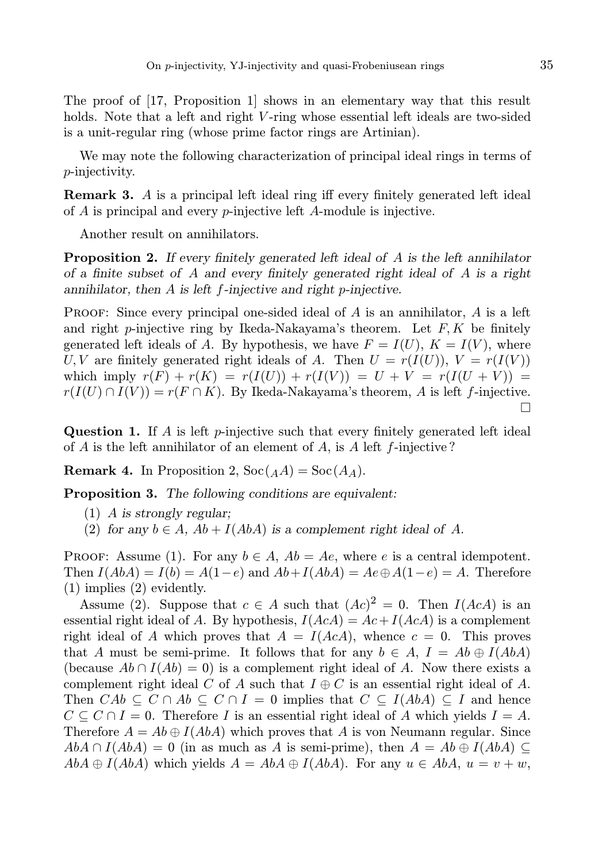The proof of [17, Proposition 1] shows in an elementary way that this result holds. Note that a left and right V-ring whose essential left ideals are two-sided is a unit-regular ring (whose prime factor rings are Artinian).

We may note the following characterization of principal ideal rings in terms of p-injectivity.

Remark 3. A is a principal left ideal ring iff every finitely generated left ideal of A is principal and every p-injective left A-module is injective.

Another result on annihilators.

**Proposition 2.** If every finitely generated left ideal of A is the left annihilator of a finite subset of A and every finitely generated right ideal of A is a right annihilator, then A is left f-injective and right p-injective.

PROOF: Since every principal one-sided ideal of A is an annihilator, A is a left and right p-injective ring by Ikeda-Nakayama's theorem. Let  $F, K$  be finitely generated left ideals of A. By hypothesis, we have  $F = I(U)$ ,  $K = I(V)$ , where U, V are finitely generated right ideals of A. Then  $U = r(I(U)), V = r(I(V))$ which imply  $r(F) + r(K) = r(I(U)) + r(I(V)) = U + V = r(I(U + V)) =$  $r(I(U) \cap I(V)) = r(F \cap K)$ . By Ikeda-Nakayama's theorem, A is left f-injective. П

**Question 1.** If A is left p-injective such that every finitely generated left ideal of  $A$  is the left annihilator of an element of  $A$ , is  $A$  left  $f$ -injective?

**Remark 4.** In Proposition 2,  $\text{Soc}(A) = \text{Soc}(A_A)$ .

Proposition 3. The following conditions are equivalent:

- (1) A is strongly regular;
- (2) for any  $b \in A$ ,  $Ab + I(AbA)$  is a complement right ideal of A.

PROOF: Assume (1). For any  $b \in A$ ,  $Ab = Ae$ , where e is a central idempotent. Then  $I(AbA) = I(b) = A(1-e)$  and  $Ab + I(AbA) = Ae \oplus A(1-e) = A$ . Therefore (1) implies (2) evidently.

Assume (2). Suppose that  $c \in A$  such that  $(Ac)^2 = 0$ . Then  $I(AcA)$  is an essential right ideal of A. By hypothesis,  $I(AcA) = Ac + I(AcA)$  is a complement right ideal of A which proves that  $A = I(AcA)$ , whence  $c = 0$ . This proves that A must be semi-prime. It follows that for any  $b \in A$ ,  $I = Ab \oplus I(AbA)$ (because  $Ab \cap I(Ab) = 0$ ) is a complement right ideal of A. Now there exists a complement right ideal C of A such that  $I \oplus C$  is an essential right ideal of A. Then  $CAb \subseteq C \cap Ab \subseteq C \cap I = 0$  implies that  $C \subseteq I(AbA) \subseteq I$  and hence  $C \subseteq C \cap I = 0$ . Therefore I is an essential right ideal of A which yields  $I = A$ . Therefore  $A = Ab \oplus I(AbA)$  which proves that A is von Neumann regular. Since  $AbA \cap I(AbA) = 0$  (in as much as A is semi-prime), then  $A = Ab \oplus I(AbA) \subseteq$  $AbA \oplus I(AbA)$  which yields  $A = AbA \oplus I(AbA)$ . For any  $u \in AbA$ ,  $u = v + w$ ,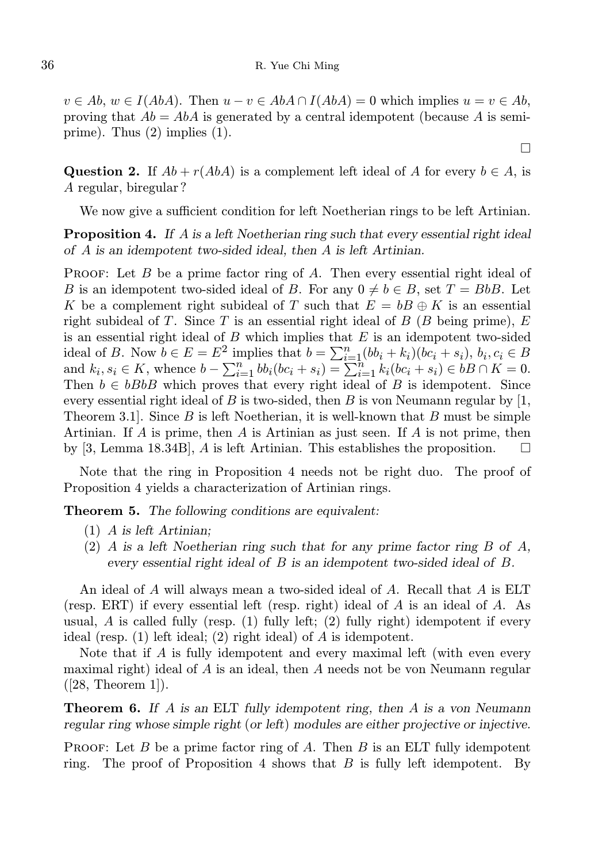$v \in Ab$ ,  $w \in I(AbA)$ . Then  $u - v \in AbA \cap I(AbA) = 0$  which implies  $u = v \in Ab$ , proving that  $Ab = AbA$  is generated by a central idempotent (because A is semiprime). Thus (2) implies (1).

 $\Box$ 

Question 2. If  $Ab + r(Ab)$  is a complement left ideal of A for every  $b \in A$ , is A regular, biregular ?

We now give a sufficient condition for left Noetherian rings to be left Artinian.

**Proposition 4.** If A is a left Noetherian ring such that every essential right ideal of A is an idempotent two-sided ideal, then A is left Artinian.

PROOF: Let B be a prime factor ring of A. Then every essential right ideal of B is an idempotent two-sided ideal of B. For any  $0 \neq b \in B$ , set  $T = BbB$ . Let K be a complement right subideal of T such that  $E = bB \oplus K$  is an essential right subideal of T. Since T is an essential right ideal of  $B$  (B being prime),  $E$ is an essential right ideal of  $B$  which implies that  $E$  is an idempotent two-sided ideal of B. Now  $b \in E = E^2$  implies that  $b = \sum_{i=1}^n (bb_i + k_i)(bc_i + s_i), b_i, c_i \in B$ and  $k_i, s_i \in K$ , whence  $b - \sum_{i=1}^n bb_i(bc_i + s_i) = \sum_{i=1}^{n} k_i(bc_i + s_i) \in bB \cap K = 0$ . Then  $b \in bBbB$  which proves that every right ideal of B is idempotent. Since every essential right ideal of B is two-sided, then B is von Neumann regular by  $[1,$ Theorem 3.1. Since  $B$  is left Noetherian, it is well-known that  $B$  must be simple Artinian. If A is prime, then A is Artinian as just seen. If A is not prime, then by [3, Lemma 18.34B], A is left Artinian. This establishes the proposition.

Note that the ring in Proposition 4 needs not be right duo. The proof of Proposition 4 yields a characterization of Artinian rings.

Theorem 5. The following conditions are equivalent:

- (1) A is left Artinian;
- (2) A is a left Noetherian ring such that for any prime factor ring B of  $A$ , every essential right ideal of B is an idempotent two-sided ideal of B.

An ideal of A will always mean a two-sided ideal of A. Recall that A is ELT (resp. ERT) if every essential left (resp. right) ideal of A is an ideal of A. As usual,  $\vec{A}$  is called fully (resp. (1) fully left; (2) fully right) idempotent if every ideal (resp. (1) left ideal; (2) right ideal) of A is idempotent.

Note that if A is fully idempotent and every maximal left (with even every maximal right) ideal of A is an ideal, then A needs not be von Neumann regular ([28, Theorem 1]).

**Theorem 6.** If A is an ELT fully idempotent ring, then A is a von Neumann regular ring whose simple right (or left) modules are either projective or injective.

**PROOF:** Let B be a prime factor ring of A. Then B is an ELT fully idempotent ring. The proof of Proposition 4 shows that  $B$  is fully left idempotent. By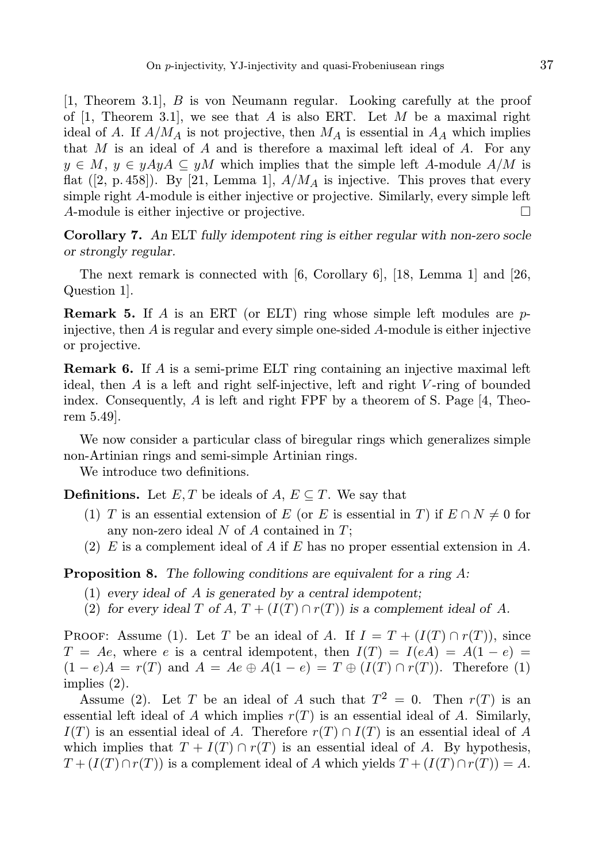[1, Theorem 3.1], B is von Neumann regular. Looking carefully at the proof of [1, Theorem 3.1], we see that A is also ERT. Let M be a maximal right ideal of A. If  $A/M_A$  is not projective, then  $M_A$  is essential in  $A_A$  which implies that  $M$  is an ideal of  $A$  and is therefore a maximal left ideal of  $A$ . For any  $y \in M$ ,  $y \in yAyA \subseteq yM$  which implies that the simple left A-module  $A/M$  is flat  $([2, p. 458])$ . By [21, Lemma 1],  $A/M_A$  is injective. This proves that every simple right A-module is either injective or projective. Similarly, every simple left A-module is either injective or projective.  $\Box$ 

Corollary 7. An ELT fully idempotent ring is either regular with non-zero socle or strongly regular.

The next remark is connected with  $[6,$  Corollary 6,  $[18,$  Lemma 1 and  $[26,$ Question 1].

**Remark 5.** If A is an ERT (or ELT) ring whose simple left modules are  $p$ injective, then  $A$  is regular and every simple one-sided  $A$ -module is either injective or projective.

Remark 6. If A is a semi-prime ELT ring containing an injective maximal left ideal, then  $A$  is a left and right self-injective, left and right  $V$ -ring of bounded index. Consequently, A is left and right FPF by a theorem of S. Page [4, Theorem 5.49].

We now consider a particular class of biregular rings which generalizes simple non-Artinian rings and semi-simple Artinian rings.

We introduce two definitions.

**Definitions.** Let  $E, T$  be ideals of  $A, E \subseteq T$ . We say that

- (1) T is an essential extension of E (or E is essential in T) if  $E \cap N \neq 0$  for any non-zero ideal  $N$  of  $A$  contained in  $T$ ;
- (2) E is a complement ideal of A if E has no proper essential extension in A.

Proposition 8. The following conditions are equivalent for a ring A:

- (1) every ideal of A is generated by a central idempotent;
- (2) for every ideal T of A,  $T + (I(T) \cap r(T))$  is a complement ideal of A.

PROOF: Assume (1). Let T be an ideal of A. If  $I = T + (I(T) \cap r(T))$ , since  $T = Ae$ , where e is a central idempotent, then  $I(T) = I(eA) = A(1 - e)$  $(1-e)A = r(T)$  and  $A = Ae \oplus A(1-e) = T \oplus (I(T) \cap r(T))$ . Therefore (1) implies (2).

Assume (2). Let T be an ideal of A such that  $T^2 = 0$ . Then  $r(T)$  is an essential left ideal of A which implies  $r(T)$  is an essential ideal of A. Similarly,  $I(T)$  is an essential ideal of A. Therefore  $r(T) \cap I(T)$  is an essential ideal of A which implies that  $T + I(T) \cap r(T)$  is an essential ideal of A. By hypothesis,  $T + (I(T) \cap r(T))$  is a complement ideal of A which yields  $T + (I(T) \cap r(T)) = A$ .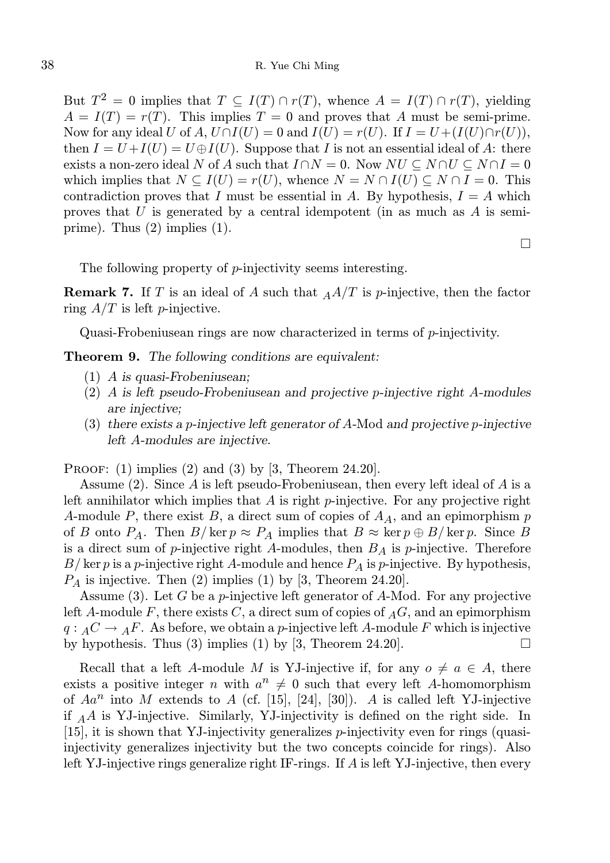But  $T^2 = 0$  implies that  $T \subseteq I(T) \cap r(T)$ , whence  $A = I(T) \cap r(T)$ , yielding  $A = I(T) = r(T)$ . This implies  $T = 0$  and proves that A must be semi-prime. Now for any ideal U of A,  $U \cap I(U) = 0$  and  $I(U) = r(U)$ . If  $I = U + (I(U) \cap r(U))$ , then  $I = U + I(U) = U \oplus I(U)$ . Suppose that I is not an essential ideal of A: there exists a non-zero ideal N of A such that  $I \cap N = 0$ . Now  $NU \subseteq N \cap U \subseteq N \cap I = 0$ which implies that  $N \subseteq I(U) = r(U)$ , whence  $N = N \cap I(U) \subseteq N \cap I = 0$ . This contradiction proves that I must be essential in A. By hypothesis,  $I = A$  which proves that U is generated by a central idempotent (in as much as  $A$  is semiprime). Thus (2) implies (1).

 $\Box$ 

The following property of *p*-injectivity seems interesting.

**Remark 7.** If T is an ideal of A such that  $_A A/T$  is p-injective, then the factor ring  $A/T$  is left *p*-injective.

Quasi-Frobeniusean rings are now characterized in terms of p-injectivity.

Theorem 9. The following conditions are equivalent:

- (1) A is quasi-Frobeniusean;
- (2) A is left pseudo-Frobeniusean and projective p-injective right A-modules are injective;
- (3) there exists a p-injective left generator of A-Mod and projective p-injective left A-modules are injective.

PROOF: (1) implies (2) and (3) by [3, Theorem 24.20].

Assume (2). Since A is left pseudo-Frobeniusean, then every left ideal of A is a left annihilator which implies that  $A$  is right p-injective. For any projective right A-module P, there exist B, a direct sum of copies of  $A<sub>A</sub>$ , and an epimorphism p of B onto  $P_A$ . Then  $B/\ker p \approx P_A$  implies that  $B \approx \ker p \oplus B/\ker p$ . Since B is a direct sum of  $p$ -injective right A-modules, then  $B<sub>A</sub>$  is  $p$ -injective. Therefore  $B/\ker p$  is a p-injective right A-module and hence  $P_A$  is p-injective. By hypothesis,  $P_A$  is injective. Then (2) implies (1) by [3, Theorem 24.20].

Assume  $(3)$ . Let G be a *p*-injective left generator of A-Mod. For any projective left A-module F, there exists C, a direct sum of copies of  $_A G$ , and an epimorphism  $q: AC \rightarrow AF$ . As before, we obtain a p-injective left A-module F which is injective by hypothesis. Thus (3) implies (1) by [3, Theorem 24.20].  $\Box$ 

Recall that a left A-module M is YJ-injective if, for any  $o \neq a \in A$ , there exists a positive integer n with  $a^n \neq 0$  such that every left A-homomorphism of  $Aa^n$  into M extends to A (cf. [15], [24], [30]). A is called left YJ-injective if  $_A A$  is YJ-injective. Similarly, YJ-injectivity is defined on the right side. In [15], it is shown that YJ-injectivity generalizes p-injectivity even for rings (quasiinjectivity generalizes injectivity but the two concepts coincide for rings). Also left YJ-injective rings generalize right IF-rings. If A is left YJ-injective, then every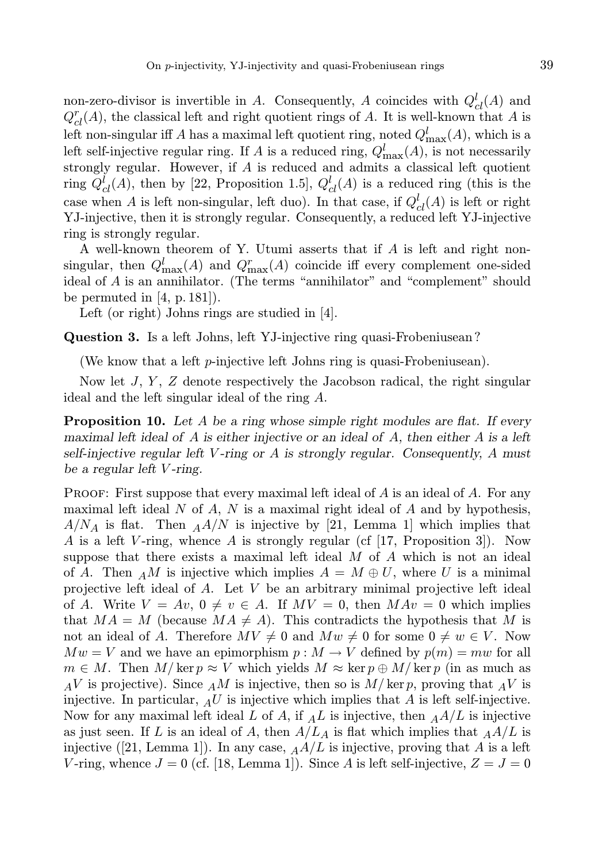non-zero-divisor is invertible in A. Consequently, A coincides with  $Q_{cl}^l(A)$  and  $Q_{cl}^r(A)$ , the classical left and right quotient rings of A. It is well-known that A is left non-singular iff A has a maximal left quotient ring, noted  $Q^l_{\text{max}}(A)$ , which is a left self-injective regular ring. If A is a reduced ring,  $Q_{\text{max}}^l(A)$ , is not necessarily strongly regular. However, if A is reduced and admits a classical left quotient ring  $Q_{cl}^l(A)$ , then by [22, Proposition 1.5],  $Q_{cl}^l(A)$  is a reduced ring (this is the case when A is left non-singular, left duo). In that case, if  $Q_{cl}^l(A)$  is left or right YJ-injective, then it is strongly regular. Consequently, a reduced left YJ-injective ring is strongly regular.

A well-known theorem of Y. Utumi asserts that if A is left and right nonsingular, then  $Q_{\text{max}}^l(A)$  and  $Q_{\text{max}}^r(A)$  coincide iff every complement one-sided ideal of A is an annihilator. (The terms "annihilator" and "complement" should be permuted in  $[4, p. 181]$ .

Left (or right) Johns rings are studied in [4].

Question 3. Is a left Johns, left YJ-injective ring quasi-Frobeniusean ?

(We know that a left  $p$ -injective left Johns ring is quasi-Frobeniusean).

Now let  $J, Y, Z$  denote respectively the Jacobson radical, the right singular ideal and the left singular ideal of the ring A.

**Proposition 10.** Let A be a ring whose simple right modules are flat. If every maximal left ideal of  $A$  is either injective or an ideal of  $A$ , then either  $A$  is a left self-injective regular left V-ring or  $A$  is strongly regular. Consequently,  $A$  must be a regular left V -ring.

PROOF: First suppose that every maximal left ideal of  $A$  is an ideal of  $A$ . For any maximal left ideal  $N$  of  $A$ ,  $N$  is a maximal right ideal of  $A$  and by hypothesis,  $A/N_A$  is flat. Then  $_A A/N$  is injective by [21, Lemma 1] which implies that A is a left V-ring, whence A is strongly regular (cf [17, Proposition 3]). Now suppose that there exists a maximal left ideal  $M$  of  $A$  which is not an ideal of A. Then  $_A M$  is injective which implies  $A = M \oplus U$ , where U is a minimal projective left ideal of A. Let V be an arbitrary minimal projective left ideal of A. Write  $V = Av$ ,  $0 \neq v \in A$ . If  $MV = 0$ , then  $MAv = 0$  which implies that  $MA = M$  (because  $MA \neq A$ ). This contradicts the hypothesis that M is not an ideal of A. Therefore  $MV \neq 0$  and  $Mw \neq 0$  for some  $0 \neq w \in V$ . Now  $Mw = V$  and we have an epimorphism  $p : M \to V$  defined by  $p(m) = mw$  for all  $m \in M$ . Then  $M/\ker p \approx V$  which yields  $M \approx \ker p \oplus M/\ker p$  (in as much as  $_{A}V$  is projective). Since  $_{A}M$  is injective, then so is  $M/\ker p$ , proving that  $_{A}V$  is injective. In particular,  $_A U$  is injective which implies that A is left self-injective. Now for any maximal left ideal L of A, if  $_A L$  is injective, then  $_A A/L$  is injective as just seen. If L is an ideal of A, then  $A/L_A$  is flat which implies that  $_A A/L$  is injective ([21, Lemma 1]). In any case,  $_A A/L$  is injective, proving that A is a left V-ring, whence  $J = 0$  (cf. [18, Lemma 1]). Since A is left self-injective,  $Z = J = 0$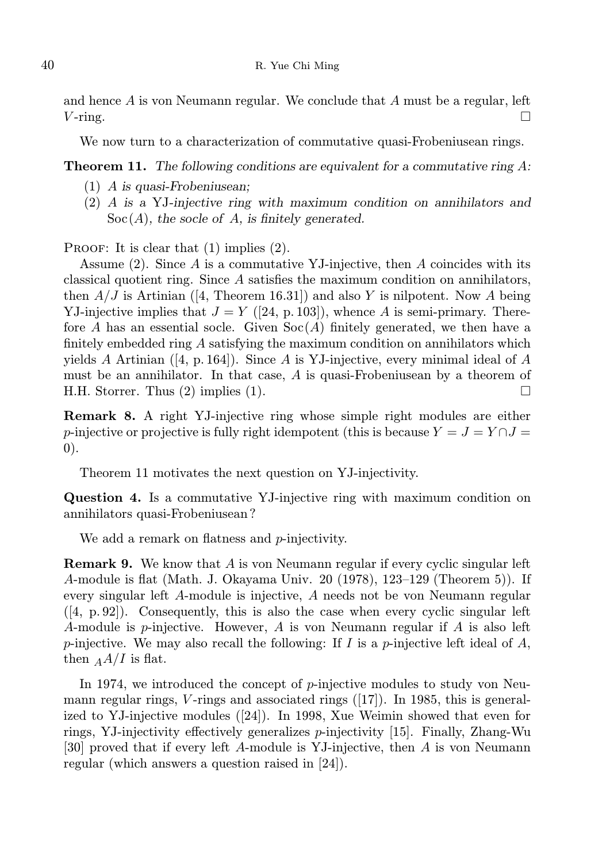and hence  $A$  is von Neumann regular. We conclude that  $A$  must be a regular, left  $V$ -ring.  $\Box$ 

We now turn to a characterization of commutative quasi-Frobeniusean rings.

**Theorem 11.** The following conditions are equivalent for a commutative ring  $A$ :

- (1) A is quasi-Frobeniusean;
- (2) A is a YJ-injective ring with maximum condition on annihilators and  $Soc(A)$ , the socle of A, is finitely generated.

PROOF: It is clear that  $(1)$  implies  $(2)$ .

Assume  $(2)$ . Since A is a commutative YJ-injective, then A coincides with its classical quotient ring. Since A satisfies the maximum condition on annihilators, then  $A/J$  is Artinian ([4, Theorem 16.31]) and also Y is nilpotent. Now A being YJ-injective implies that  $J = Y$  ([24, p. 103]), whence A is semi-primary. Therefore A has an essential socle. Given  $Soc(A)$  finitely generated, we then have a finitely embedded ring A satisfying the maximum condition on annihilators which yields A Artinian ([4, p. 164]). Since A is YJ-injective, every minimal ideal of A must be an annihilator. In that case,  $A$  is quasi-Frobeniusean by a theorem of H.H. Storrer. Thus  $(2)$  implies  $(1)$ .

Remark 8. A right YJ-injective ring whose simple right modules are either p-injective or projective is fully right idempotent (this is because  $Y = J = Y \cap J =$ 0).

Theorem 11 motivates the next question on YJ-injectivity.

Question 4. Is a commutative YJ-injective ring with maximum condition on annihilators quasi-Frobeniusean ?

We add a remark on flatness and *p*-injectivity.

Remark 9. We know that A is von Neumann regular if every cyclic singular left A-module is flat (Math. J. Okayama Univ. 20 (1978), 123–129 (Theorem 5)). If every singular left A-module is injective, A needs not be von Neumann regular  $([4, p. 92])$ . Consequently, this is also the case when every cyclic singular left A-module is p-injective. However, A is von Neumann regular if A is also left p-injective. We may also recall the following: If I is a p-injective left ideal of  $A$ , then  $_A A/I$  is flat.

In 1974, we introduced the concept of p-injective modules to study von Neumann regular rings,  $V$ -rings and associated rings ([17]). In 1985, this is generalized to YJ-injective modules ([24]). In 1998, Xue Weimin showed that even for rings, YJ-injectivity effectively generalizes p-injectivity [15]. Finally, Zhang-Wu [30] proved that if every left A-module is YJ-injective, then A is von Neumann regular (which answers a question raised in [24]).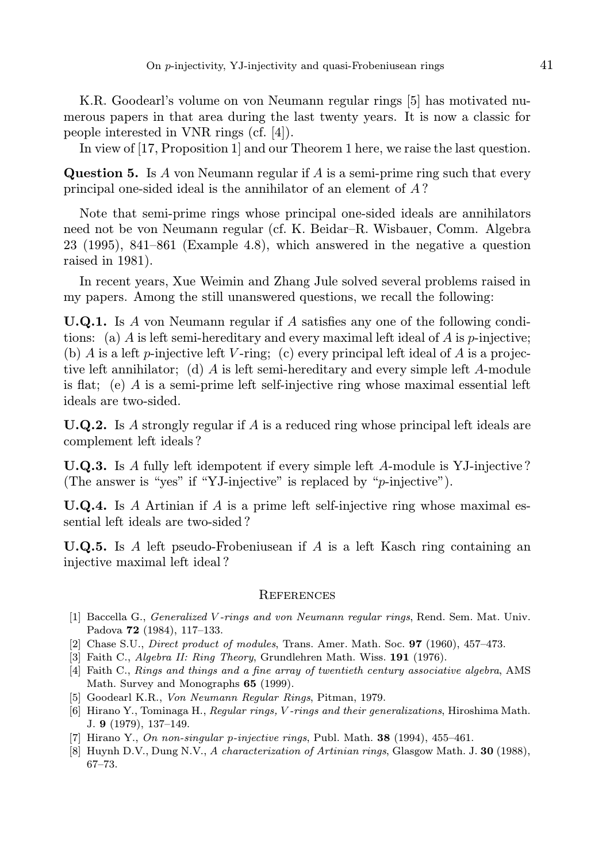K.R. Goodearl's volume on von Neumann regular rings [5] has motivated numerous papers in that area during the last twenty years. It is now a classic for people interested in VNR rings (cf. [4]).

In view of [17, Proposition 1] and our Theorem 1 here, we raise the last question.

**Question 5.** Is A von Neumann regular if A is a semi-prime ring such that every principal one-sided ideal is the annihilator of an element of A ?

Note that semi-prime rings whose principal one-sided ideals are annihilators need not be von Neumann regular (cf. K. Beidar–R. Wisbauer, Comm. Algebra 23 (1995), 841–861 (Example 4.8), which answered in the negative a question raised in 1981).

In recent years, Xue Weimin and Zhang Jule solved several problems raised in my papers. Among the still unanswered questions, we recall the following:

U.Q.1. Is A von Neumann regular if A satisfies any one of the following conditions: (a) A is left semi-hereditary and every maximal left ideal of A is  $p$ -injective; (b) A is a left p-injective left V-ring; (c) every principal left ideal of A is a projective left annihilator; (d) A is left semi-hereditary and every simple left A-module is flat; (e) A is a semi-prime left self-injective ring whose maximal essential left ideals are two-sided.

**U.Q.2.** Is A strongly regular if A is a reduced ring whose principal left ideals are complement left ideals ?

U.Q.3. Is A fully left idempotent if every simple left A-module is YJ-injective ? (The answer is "yes" if "YJ-injective" is replaced by " $p$ -injective").

**U.Q.4.** Is A Artinian if A is a prime left self-injective ring whose maximal essential left ideals are two-sided ?

**U.Q.5.** Is A left pseudo-Frobeniusean if A is a left Kasch ring containing an injective maximal left ideal ?

## **REFERENCES**

- [1] Baccella G., Generalized V -rings and von Neumann regular rings, Rend. Sem. Mat. Univ. Padova 72 (1984), 117–133.
- [2] Chase S.U., Direct product of modules, Trans. Amer. Math. Soc. 97 (1960), 457–473.
- [3] Faith C., Algebra II: Ring Theory, Grundlehren Math. Wiss. 191 (1976).
- [4] Faith C., Rings and things and a fine array of twentieth century associative algebra, AMS Math. Survey and Monographs 65 (1999).
- [5] Goodearl K.R., Von Neumann Regular Rings, Pitman, 1979.
- [6] Hirano Y., Tominaga H., Regular rings, V -rings and their generalizations, Hiroshima Math. J. 9 (1979), 137–149.
- [7] Hirano Y., On non-singular p-injective rings, Publ. Math.  $38$  (1994), 455–461.
- [8] Huynh D.V., Dung N.V., A characterization of Artinian rings, Glasgow Math. J. 30 (1988), 67–73.